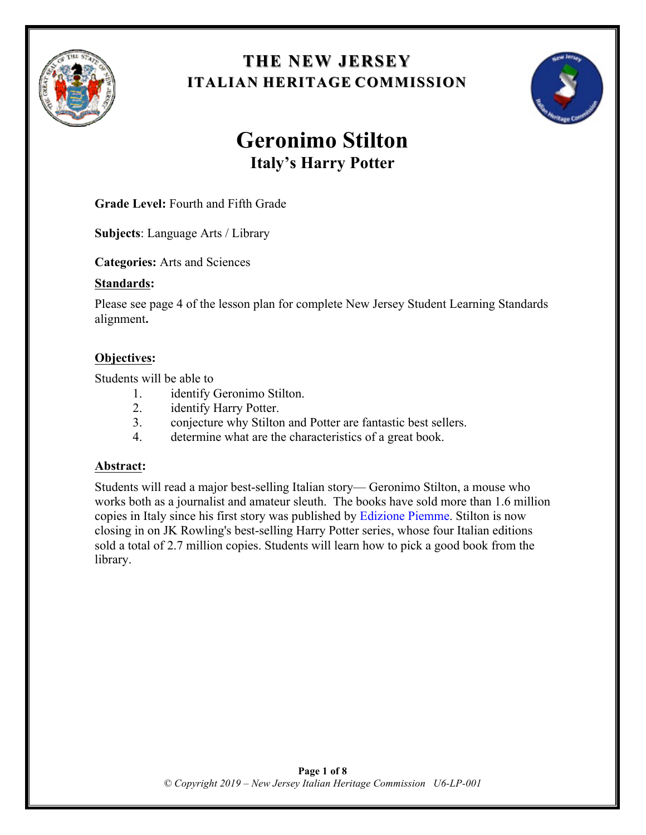

## **THE NEW JERSEY THE NEW JERSEY ITALIAN HERITAGE COMMISSION**



# **Geronimo Stilton Italy's Harry Potter**

**Grade Level:** Fourth and Fifth Grade

**Subjects**: Language Arts / Library

**Categories:** Arts and Sciences

#### **Standards:**

Please see page 4 of the lesson plan for complete New Jersey Student Learning Standards alignment**.**

#### **Objectives:**

Students will be able to

- 1. identify Geronimo Stilton.
- 2. identify Harry Potter.
- 3. conjecture why Stilton and Potter are fantastic best sellers.
- 4. determine what are the characteristics of a great book.

#### **Abstract:**

Students will read a major best-selling Italian story— Geronimo Stilton, a mouse who works both as a journalist and amateur sleuth. The books have sold more than 1.6 million copies in Italy since his first story was published by Edizione Piemme. Stilton is now closing in on JK Rowling's best-selling Harry Potter series, whose four Italian editions sold a total of 2.7 million copies. Students will learn how to pick a good book from the library.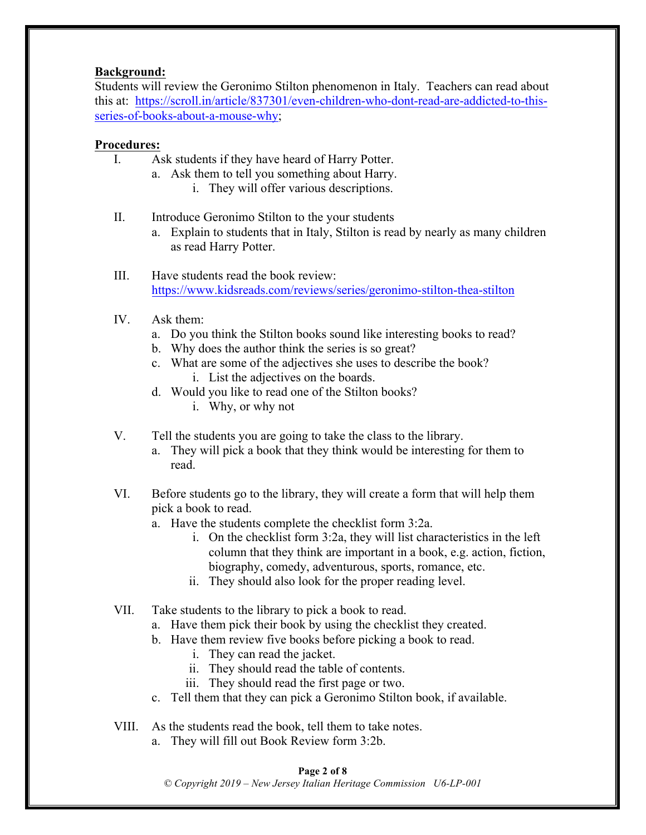#### **Background:**

Students will review the Geronimo Stilton phenomenon in Italy. Teachers can read about this at: https://scroll.in/article/837301/even-children-who-dont-read-are-addicted-to-thisseries-of-books-about-a-mouse-why;

#### **Procedures:**

- I. Ask students if they have heard of Harry Potter.
	- a. Ask them to tell you something about Harry.
		- i. They will offer various descriptions.
- II. Introduce Geronimo Stilton to the your students
	- a. Explain to students that in Italy, Stilton is read by nearly as many children as read Harry Potter.
- III. Have students read the book review: https://www.kidsreads.com/reviews/series/geronimo-stilton-thea-stilton
- IV. Ask them:
	- a. Do you think the Stilton books sound like interesting books to read?
	- b. Why does the author think the series is so great?
	- c. What are some of the adjectives she uses to describe the book? i. List the adjectives on the boards.
	- d. Would you like to read one of the Stilton books?
		- i. Why, or why not
- V. Tell the students you are going to take the class to the library.
	- a. They will pick a book that they think would be interesting for them to read.
- VI. Before students go to the library, they will create a form that will help them pick a book to read.
	- a. Have the students complete the checklist form 3:2a.
		- i. On the checklist form 3:2a, they will list characteristics in the left column that they think are important in a book, e.g. action, fiction, biography, comedy, adventurous, sports, romance, etc.
		- ii. They should also look for the proper reading level.
- VII. Take students to the library to pick a book to read.
	- a. Have them pick their book by using the checklist they created.
	- b. Have them review five books before picking a book to read.
		- i. They can read the jacket.
		- ii. They should read the table of contents.
		- iii. They should read the first page or two.
	- c. Tell them that they can pick a Geronimo Stilton book, if available.
- VIII. As the students read the book, tell them to take notes.
	- a. They will fill out Book Review form 3:2b.

#### **Page 2 of 8**

*© Copyright 2019 – New Jersey Italian Heritage Commission U6-LP-001*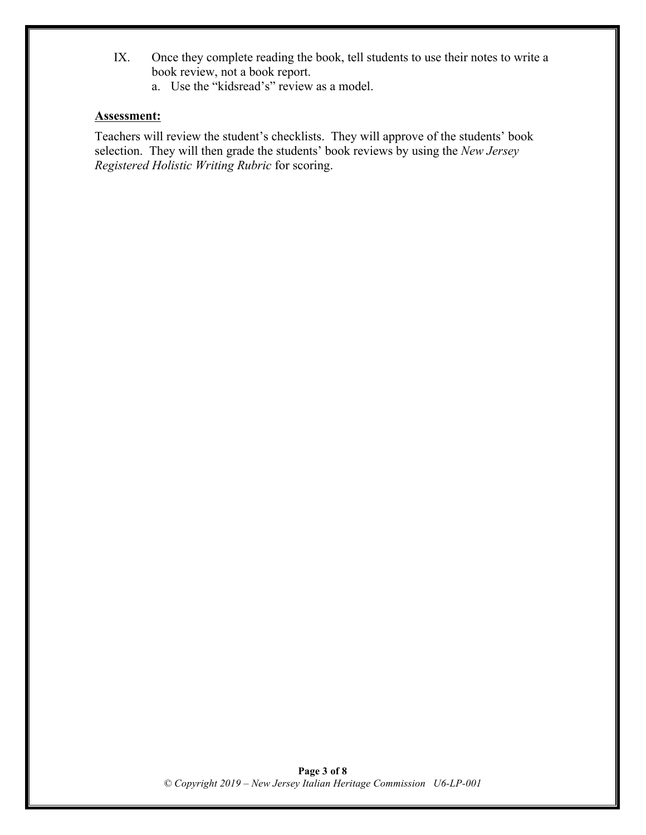- IX. Once they complete reading the book, tell students to use their notes to write a book review, not a book report.
	- a. Use the "kidsread's" review as a model.

#### **Assessment:**

Teachers will review the student's checklists. They will approve of the students' book selection. They will then grade the students' book reviews by using the *New Jersey Registered Holistic Writing Rubric* for scoring.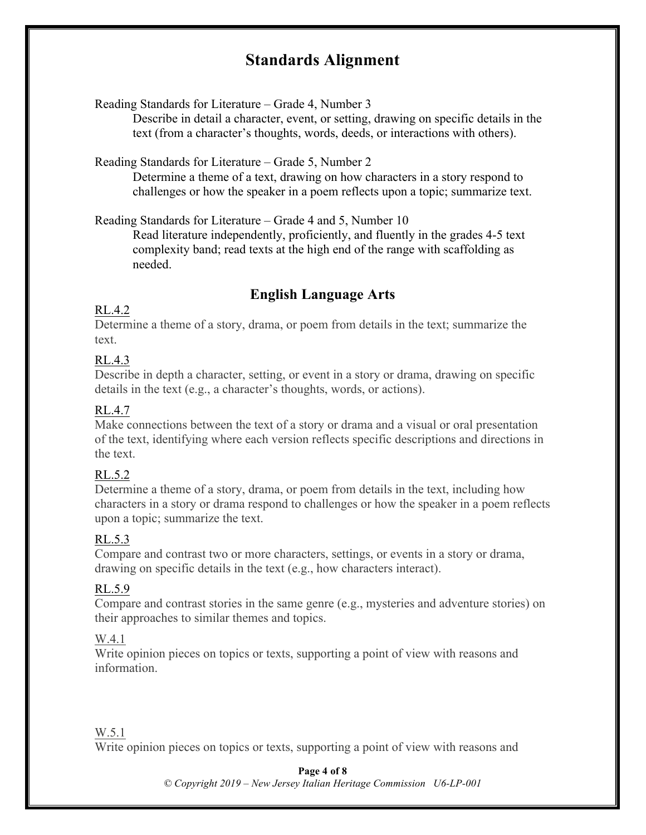### **Standards Alignment**

Reading Standards for Literature – Grade 4, Number 3

Describe in detail a character, event, or setting, drawing on specific details in the text (from a character's thoughts, words, deeds, or interactions with others).

Reading Standards for Literature – Grade 5, Number 2

Determine a theme of a text, drawing on how characters in a story respond to challenges or how the speaker in a poem reflects upon a topic; summarize text.

Reading Standards for Literature – Grade 4 and 5, Number 10

Read literature independently, proficiently, and fluently in the grades 4-5 text complexity band; read texts at the high end of the range with scaffolding as needed.

#### **English Language Arts**

#### RL.4.2

Determine a theme of a story, drama, or poem from details in the text; summarize the text.

#### RL.4.3

Describe in depth a character, setting, or event in a story or drama, drawing on specific details in the text (e.g., a character's thoughts, words, or actions).

#### RL.4.7

Make connections between the text of a story or drama and a visual or oral presentation of the text, identifying where each version reflects specific descriptions and directions in the text.

#### RL.5.2

Determine a theme of a story, drama, or poem from details in the text, including how characters in a story or drama respond to challenges or how the speaker in a poem reflects upon a topic; summarize the text.

#### RL.5.3

Compare and contrast two or more characters, settings, or events in a story or drama, drawing on specific details in the text (e.g., how characters interact).

#### RL.5.9

Compare and contrast stories in the same genre (e.g., mysteries and adventure stories) on their approaches to similar themes and topics.

#### W.4.1

Write opinion pieces on topics or texts, supporting a point of view with reasons and information.

#### W.5.1

Write opinion pieces on topics or texts, supporting a point of view with reasons and

#### **Page 4 of 8**

*© Copyright 2019 – New Jersey Italian Heritage Commission U6-LP-001*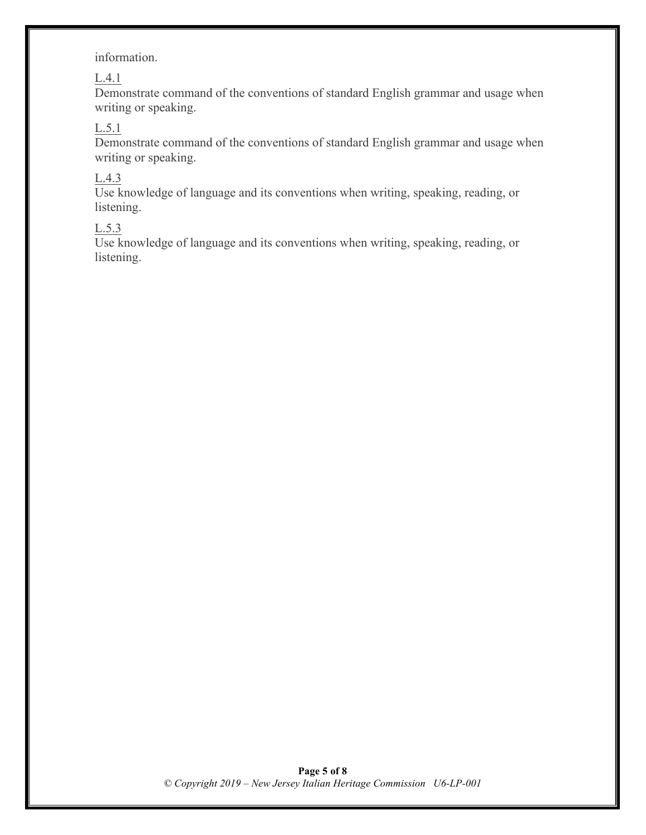#### information.

#### L.4.1

Demonstrate command of the conventions of standard English grammar and usage when writing or speaking.

#### $L.5.1$

Demonstrate command of the conventions of standard English grammar and usage when writing or speaking.

#### L.4.3

Use knowledge of language and its conventions when writing, speaking, reading, or listening.

#### L.5.3

Use knowledge of language and its conventions when writing, speaking, reading, or listening.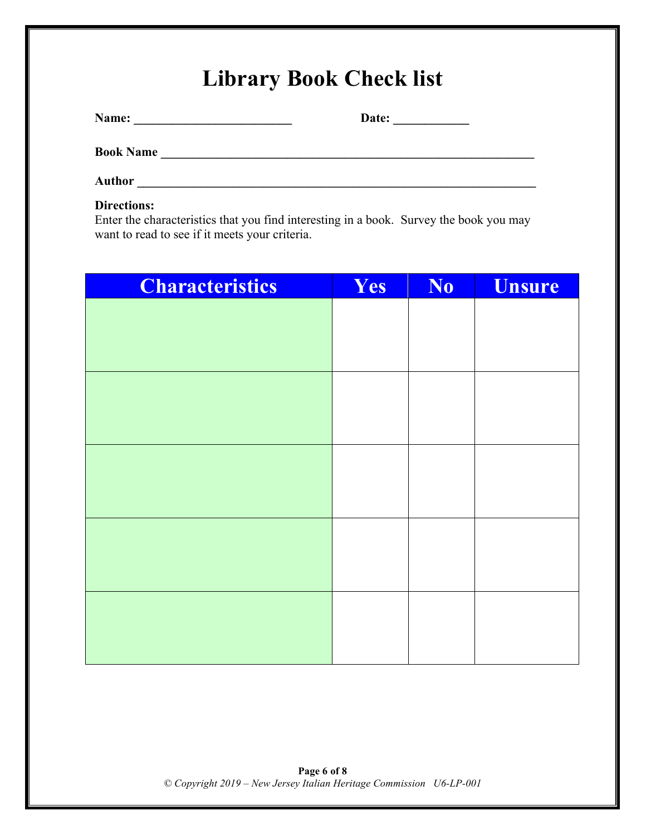# **Library Book Check list**

**Name: \_\_\_\_\_\_\_\_\_\_\_\_\_\_\_\_\_\_\_\_\_\_\_\_\_ Date: \_\_\_\_\_\_\_\_\_\_\_\_**

**Book Name \_\_\_\_\_\_\_\_\_\_\_\_\_\_\_\_\_\_\_\_\_\_\_\_\_\_\_\_\_\_\_\_\_\_\_\_\_\_\_\_\_\_\_\_\_\_\_\_\_\_\_\_\_\_\_\_\_\_\_**

**Author \_\_\_\_\_\_\_\_\_\_\_\_\_\_\_\_\_\_\_\_\_\_\_\_\_\_\_\_\_\_\_\_\_\_\_\_\_\_\_\_\_\_\_\_\_\_\_\_\_\_\_\_\_\_\_\_\_\_\_\_\_\_\_**

#### **Directions:**

Enter the characteristics that you find interesting in a book. Survey the book you may want to read to see if it meets your criteria.

| <b>Characteristics</b> | Yes | No | <b>Unsure</b> |
|------------------------|-----|----|---------------|
|                        |     |    |               |
|                        |     |    |               |
|                        |     |    |               |
|                        |     |    |               |
|                        |     |    |               |
|                        |     |    |               |
|                        |     |    |               |
|                        |     |    |               |
|                        |     |    |               |
|                        |     |    |               |
|                        |     |    |               |
|                        |     |    |               |
|                        |     |    |               |
|                        |     |    |               |
|                        |     |    |               |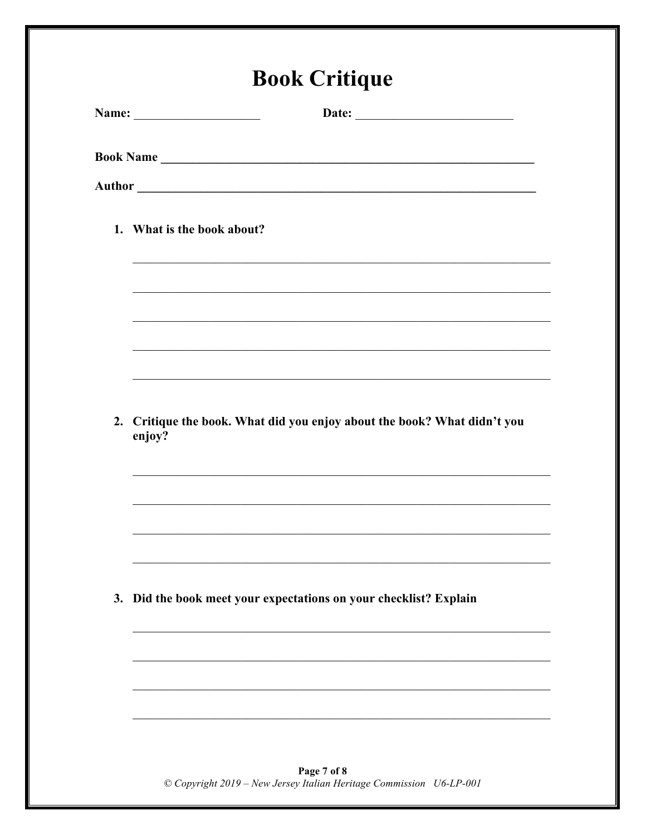| 1. What is the book about?                                                                                          |
|---------------------------------------------------------------------------------------------------------------------|
|                                                                                                                     |
| <u> 1989 - 1989 - 1989 - 1989 - 1989 - 1989 - 1989 - 1989 - 1989 - 1989 - 1989 - 1989 - 1989 - 1989 - 1989 - 19</u> |
| ,我们也不能在这里的人,我们也不能在这里的人,我们也不能在这里的人,我们也不能在这里的人,我们也不能在这里的人,我们也不能在这里的人,我们也不能在这里的人,我们也                                   |
|                                                                                                                     |
| ,我们也不能在这里的人,我们也不能在这里的人,我们也不能在这里的人,我们也不能在这里的人,我们也不能在这里的人,我们也不能在这里的人,我们也不能在这里的人,我们也                                   |
| 2. Critique the book. What did you enjoy about the book? What didn't you<br>enjoy?                                  |
|                                                                                                                     |
|                                                                                                                     |
|                                                                                                                     |
| 3. Did the book meet your expectations on your checklist? Explain                                                   |
|                                                                                                                     |
|                                                                                                                     |

**Page 7 of 8**<br>© Copyright 2019 – New Jersey Italian Heritage Commission U6-LP-001